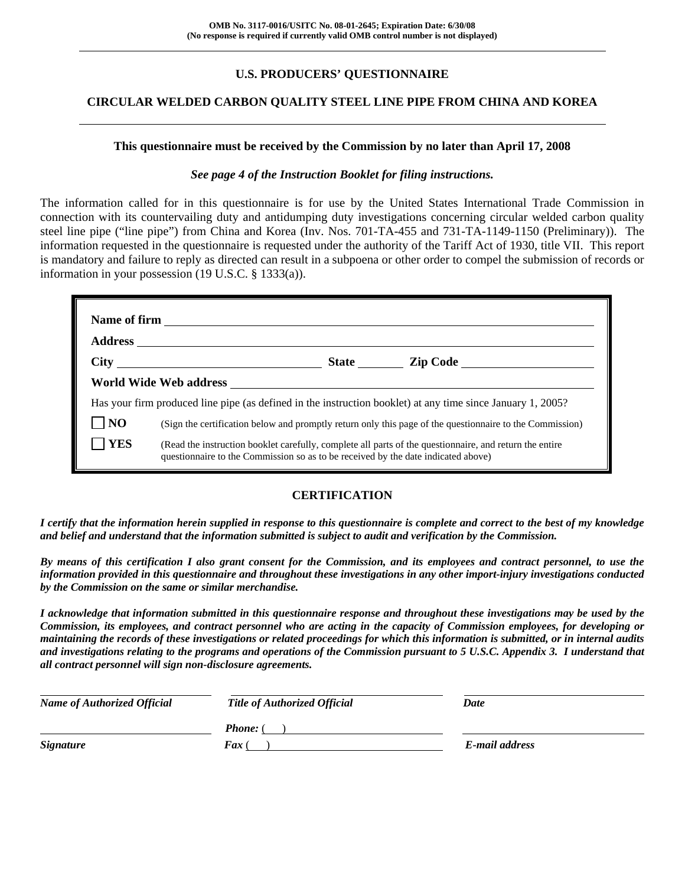## **U.S. PRODUCERS' QUESTIONNAIRE**

## **CIRCULAR WELDED CARBON QUALITY STEEL LINE PIPE FROM CHINA AND KOREA**

#### **This questionnaire must be received by the Commission by no later than April 17, 2008**

#### *See page 4 of the Instruction Booklet for filing instructions.*

The information called for in this questionnaire is for use by the United States International Trade Commission in connection with its countervailing duty and antidumping duty investigations concerning circular welded carbon quality steel line pipe ("line pipe") from China and Korea (Inv. Nos. 701-TA-455 and 731-TA-1149-1150 (Preliminary)). The information requested in the questionnaire is requested under the authority of the Tariff Act of 1930, title VII. This report is mandatory and failure to reply as directed can result in a subpoena or other order to compel the submission of records or information in your possession (19 U.S.C. § 1333(a)).

| World Wide Web address <b>with the Contract of Contract Contract Contract Contract Contract Contract Contract Contract Contract Contract Contract Contract Contract Contract Contract Contract Contract Contract Contract Contra</b> |                                                                                                             |                                                                                                                                                                                              |                                                                                                          |  |
|--------------------------------------------------------------------------------------------------------------------------------------------------------------------------------------------------------------------------------------|-------------------------------------------------------------------------------------------------------------|----------------------------------------------------------------------------------------------------------------------------------------------------------------------------------------------|----------------------------------------------------------------------------------------------------------|--|
|                                                                                                                                                                                                                                      | Has your firm produced line pipe (as defined in the instruction booklet) at any time since January 1, 2005? |                                                                                                                                                                                              |                                                                                                          |  |
| N <sub>O</sub>                                                                                                                                                                                                                       |                                                                                                             |                                                                                                                                                                                              | (Sign the certification below and promptly return only this page of the questionnaire to the Commission) |  |
| <b>YES</b>                                                                                                                                                                                                                           |                                                                                                             | (Read the instruction booklet carefully, complete all parts of the questionnaire, and return the entire<br>questionnaire to the Commission so as to be received by the date indicated above) |                                                                                                          |  |

## **CERTIFICATION**

*I certify that the information herein supplied in response to this questionnaire is complete and correct to the best of my knowledge and belief and understand that the information submitted is subject to audit and verification by the Commission.* 

*By means of this certification I also grant consent for the Commission, and its employees and contract personnel, to use the information provided in this questionnaire and throughout these investigations in any other import-injury investigations conducted by the Commission on the same or similar merchandise.* 

*I acknowledge that information submitted in this questionnaire response and throughout these investigations may be used by the Commission, its employees, and contract personnel who are acting in the capacity of Commission employees, for developing or maintaining the records of these investigations or related proceedings for which this information is submitted, or in internal audits and investigations relating to the programs and operations of the Commission pursuant to 5 U.S.C. Appendix 3. I understand that all contract personnel will sign non-disclosure agreements.* 

| <b>Name of Authorized Official</b> | <b>Title of Authorized Official</b> | Date           |  |
|------------------------------------|-------------------------------------|----------------|--|
|                                    | <b>Phone:</b> (                     |                |  |
| <b>Signature</b>                   | $\boldsymbol{F}$ ax (               | E-mail address |  |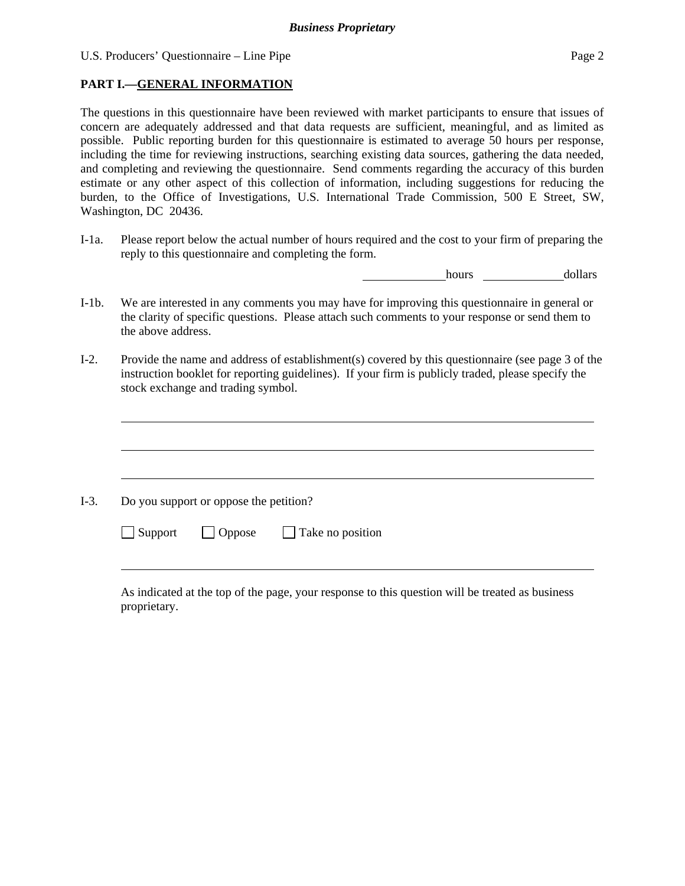## **PART I.—GENERAL INFORMATION**

 $\overline{a}$ 

 $\overline{a}$ 

The questions in this questionnaire have been reviewed with market participants to ensure that issues of concern are adequately addressed and that data requests are sufficient, meaningful, and as limited as possible. Public reporting burden for this questionnaire is estimated to average 50 hours per response, including the time for reviewing instructions, searching existing data sources, gathering the data needed, and completing and reviewing the questionnaire. Send comments regarding the accuracy of this burden estimate or any other aspect of this collection of information, including suggestions for reducing the burden, to the Office of Investigations, U.S. International Trade Commission, 500 E Street, SW, Washington, DC 20436.

I-1a. Please report below the actual number of hours required and the cost to your firm of preparing the reply to this questionnaire and completing the form.

hours dollars

- I-1b. We are interested in any comments you may have for improving this questionnaire in general or the clarity of specific questions. Please attach such comments to your response or send them to the above address.
- I-2. Provide the name and address of establishment(s) covered by this questionnaire (see page 3 of the instruction booklet for reporting guidelines). If your firm is publicly traded, please specify the stock exchange and trading symbol.

 $\overline{a}$ I-3. Do you support or oppose the petition?  $\Box$  Support  $\Box$  Oppose  $\Box$  Take no position l

As indicated at the top of the page, your response to this question will be treated as business proprietary.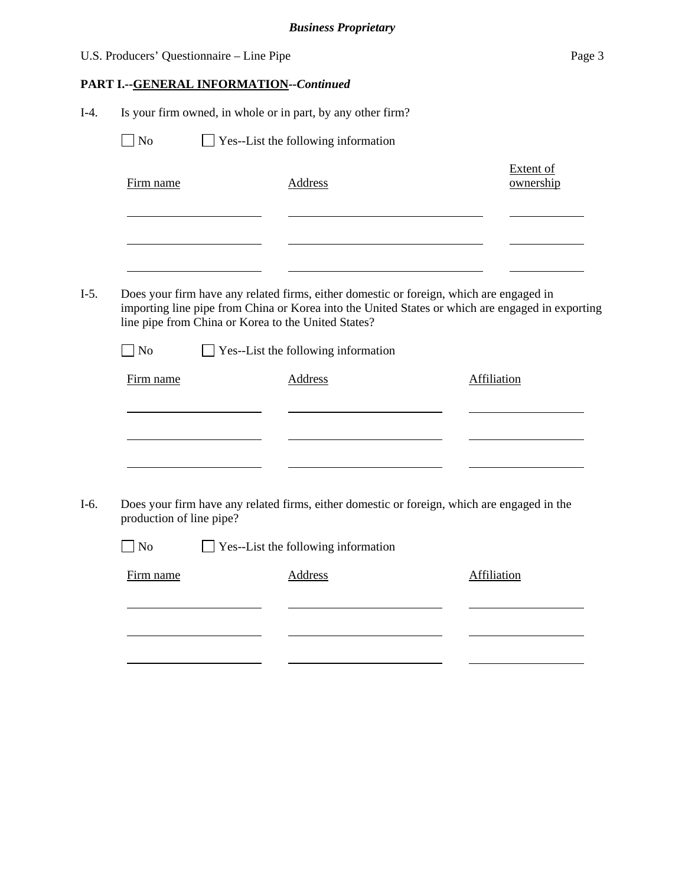|        | U.S. Producers' Questionnaire - Line Pipe                                                                                                      |  |                                            |  | Page 3                                                                                           |
|--------|------------------------------------------------------------------------------------------------------------------------------------------------|--|--------------------------------------------|--|--------------------------------------------------------------------------------------------------|
|        | PART I.--GENERAL INFORMATION--Continued                                                                                                        |  |                                            |  |                                                                                                  |
| $I-4.$ | Is your firm owned, in whole or in part, by any other firm?                                                                                    |  |                                            |  |                                                                                                  |
|        | $\blacksquare$ No                                                                                                                              |  | $\Box$ Yes--List the following information |  |                                                                                                  |
|        | Firm name                                                                                                                                      |  | <b>Address</b>                             |  | <b>Extent of</b><br>ownership                                                                    |
|        |                                                                                                                                                |  |                                            |  |                                                                                                  |
| $I-5.$ | Does your firm have any related firms, either domestic or foreign, which are engaged in<br>line pipe from China or Korea to the United States? |  |                                            |  | importing line pipe from China or Korea into the United States or which are engaged in exporting |
|        | $\overline{N}$                                                                                                                                 |  | Yes--List the following information        |  |                                                                                                  |
|        | Firm name                                                                                                                                      |  | Address                                    |  | Affiliation                                                                                      |
|        |                                                                                                                                                |  |                                            |  |                                                                                                  |
| $I-6.$ | production of line pipe?                                                                                                                       |  |                                            |  | Does your firm have any related firms, either domestic or foreign, which are engaged in the      |
|        | N <sub>o</sub>                                                                                                                                 |  | Yes--List the following information        |  |                                                                                                  |
|        | Firm name                                                                                                                                      |  | <b>Address</b>                             |  | <b>Affiliation</b>                                                                               |
|        |                                                                                                                                                |  |                                            |  |                                                                                                  |
|        |                                                                                                                                                |  |                                            |  |                                                                                                  |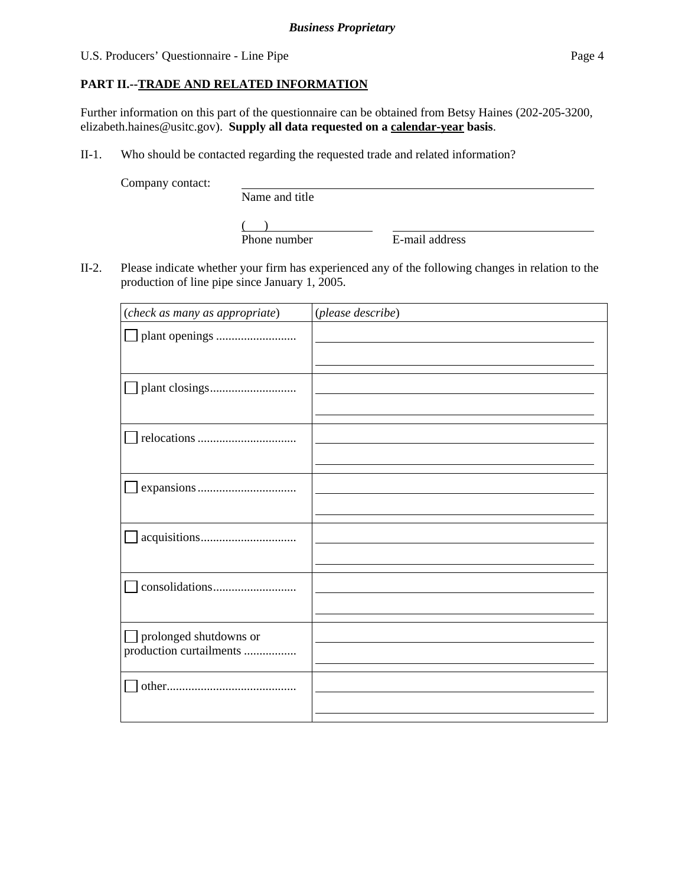## **PART II.--TRADE AND RELATED INFORMATION**

Further information on this part of the questionnaire can be obtained from Betsy Haines (202-205-3200, elizabeth.haines@usitc.gov). **Supply all data requested on a calendar-year basis**.

II-1. Who should be contacted regarding the requested trade and related information?

Company contact:

Name and title

 $\frac{1}{2}$ Phone number

E-mail address

II-2. Please indicate whether your firm has experienced any of the following changes in relation to the production of line pipe since January 1, 2005.

| (check as many as appropriate)                    | (please describe) |
|---------------------------------------------------|-------------------|
|                                                   |                   |
|                                                   |                   |
|                                                   |                   |
|                                                   |                   |
|                                                   |                   |
|                                                   |                   |
| prolonged shutdowns or<br>production curtailments |                   |
|                                                   |                   |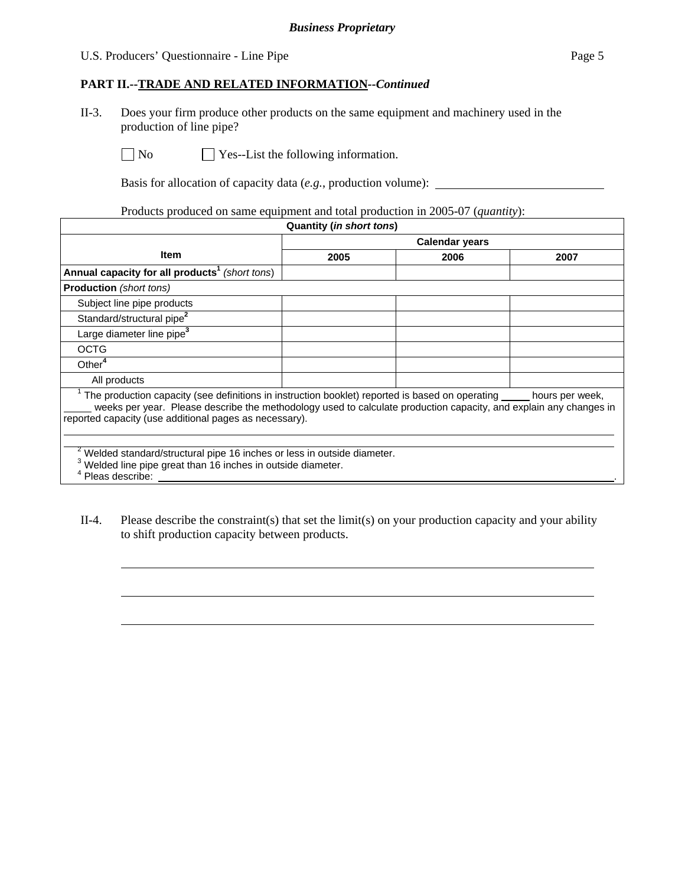## U.S. Producers' Questionnaire - Line Pipe Page 5

## **PART II.--TRADE AND RELATED INFORMATION***--Continued*

II-3. Does your firm produce other products on the same equipment and machinery used in the production of line pipe?

l

 $\overline{a}$ 

 $\overline{a}$ 

 $\Box$  No  $\Box$  Yes--List the following information.

Basis for allocation of capacity data (*e.g.*, production volume):

Products produced on same equipment and total production in 2005-07 (*quantity*):

| Quantity (in short tons)                                                                                                                                                                                                                                                             |                       |      |                 |  |
|--------------------------------------------------------------------------------------------------------------------------------------------------------------------------------------------------------------------------------------------------------------------------------------|-----------------------|------|-----------------|--|
|                                                                                                                                                                                                                                                                                      | <b>Calendar years</b> |      |                 |  |
| <b>Item</b>                                                                                                                                                                                                                                                                          | 2005                  | 2006 | 2007            |  |
| Annual capacity for all products <sup>1</sup> (short tons)                                                                                                                                                                                                                           |                       |      |                 |  |
| <b>Production</b> (short tons)                                                                                                                                                                                                                                                       |                       |      |                 |  |
| Subject line pipe products                                                                                                                                                                                                                                                           |                       |      |                 |  |
| Standard/structural pipe <sup>2</sup>                                                                                                                                                                                                                                                |                       |      |                 |  |
| Large diameter line pipe <sup>3</sup>                                                                                                                                                                                                                                                |                       |      |                 |  |
| <b>OCTG</b>                                                                                                                                                                                                                                                                          |                       |      |                 |  |
| Other <sup>4</sup>                                                                                                                                                                                                                                                                   |                       |      |                 |  |
| All products                                                                                                                                                                                                                                                                         |                       |      |                 |  |
| The production capacity (see definitions in instruction booklet) reported is based on operating _____<br>weeks per year. Please describe the methodology used to calculate production capacity, and explain any changes in<br>reported capacity (use additional pages as necessary). |                       |      | hours per week, |  |
| Welded standard/structural pipe 16 inches or less in outside diameter.<br><sup>3</sup> Welded line pipe great than 16 inches in outside diameter.<br>Pleas describe:                                                                                                                 |                       |      |                 |  |

II-4. Please describe the constraint(s) that set the limit(s) on your production capacity and your ability to shift production capacity between products.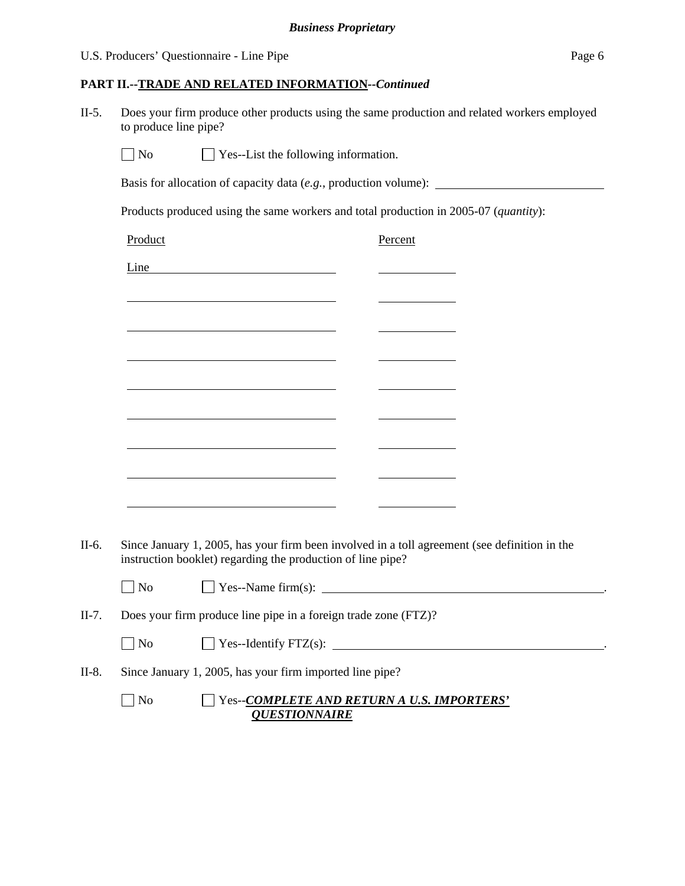## **PART II.--TRADE AND RELATED INFORMATION***--Continued*

II-5. Does your firm produce other products using the same production and related workers employed to produce line pipe?

 $\Box$  No  $\Box$  Yes--List the following information.

Basis for allocation of capacity data (*e.g.*, production volume):

Products produced using the same workers and total production in 2005-07 (*quantity*):

|         | Product                                                                                                                                                      |                                            | Percent                                                                                                               |                                     |  |
|---------|--------------------------------------------------------------------------------------------------------------------------------------------------------------|--------------------------------------------|-----------------------------------------------------------------------------------------------------------------------|-------------------------------------|--|
|         | Line <u>Line</u>                                                                                                                                             |                                            |                                                                                                                       |                                     |  |
|         | <u> 1989 - Johann Barn, mars et al. (b. 1989)</u>                                                                                                            |                                            |                                                                                                                       |                                     |  |
|         | <u> 1989 - Johann Barbara, martxa alemaniar amerikan a</u>                                                                                                   |                                            |                                                                                                                       |                                     |  |
|         | <u> 1989 - Johann Stein, mars an deus an deus Angels an deus Angels an deus Angels an deus Angels an deus Angels</u>                                         |                                            |                                                                                                                       |                                     |  |
|         | <u> 1989 - Jan Barnett, fransk politiker (d. 1989)</u>                                                                                                       |                                            | <u> 1980 - Jan James Barnett, mars et al. 1980 - 1980 - 1980 - 1980 - 1980 - 1980 - 1980 - 1980 - 1980 - 1980 - 1</u> |                                     |  |
|         | <u> 1989 - Johann Barnett, fransk politiker (d. 1989)</u>                                                                                                    |                                            | <u> The Communication of the Communication</u>                                                                        |                                     |  |
|         | <u> 1989 - Johann Barbara, martxa alemaniar arg</u>                                                                                                          |                                            |                                                                                                                       |                                     |  |
|         | <u> 1989 - Johann Barnett, fransk politiker (d. 1989)</u>                                                                                                    |                                            |                                                                                                                       |                                     |  |
|         | <u> 1989 - Johann Barbara, martxa al III-lea (h. 1989).</u>                                                                                                  |                                            |                                                                                                                       |                                     |  |
|         |                                                                                                                                                              |                                            |                                                                                                                       |                                     |  |
| II-6.   | Since January 1, 2005, has your firm been involved in a toll agreement (see definition in the<br>instruction booklet) regarding the production of line pipe? |                                            |                                                                                                                       |                                     |  |
|         | $\Box$ No                                                                                                                                                    |                                            |                                                                                                                       |                                     |  |
| $II-7.$ | Does your firm produce line pipe in a foreign trade zone (FTZ)?                                                                                              |                                            |                                                                                                                       |                                     |  |
|         | $\overline{\phantom{a}}$ No                                                                                                                                  |                                            |                                                                                                                       | $\Box$ Yes--Identify FTZ(s): $\Box$ |  |
| $II-8.$ | Since January 1, 2005, has your firm imported line pipe?                                                                                                     |                                            |                                                                                                                       |                                     |  |
|         | N <sub>o</sub>                                                                                                                                               | Yes--COMPLETE AND RETURN A U.S. IMPORTERS' |                                                                                                                       |                                     |  |

*QUESTIONNAIRE*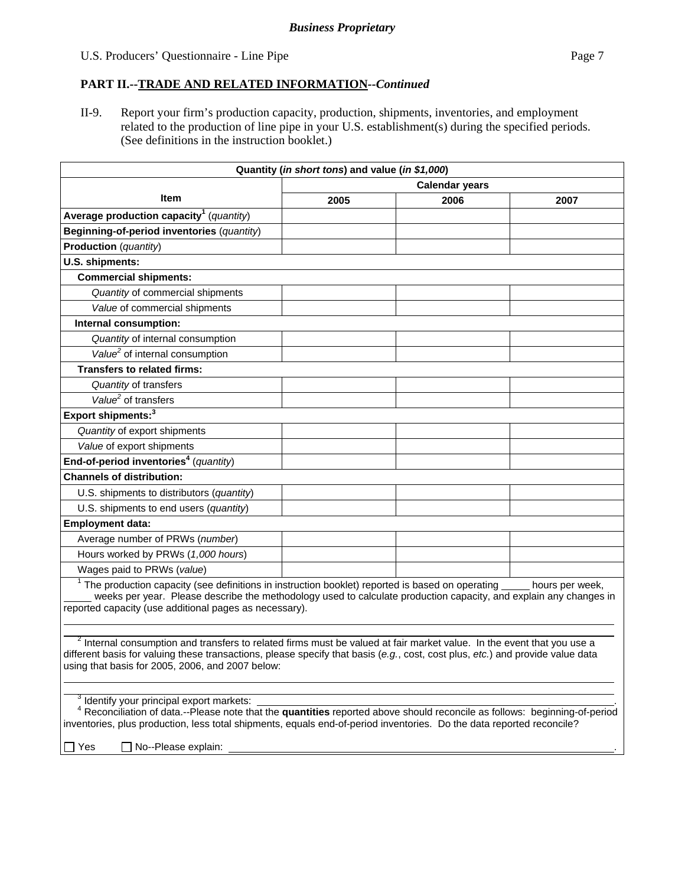## **PART II.--TRADE AND RELATED INFORMATION***--Continued*

II-9. Report your firm's production capacity, production, shipments, inventories, and employment related to the production of line pipe in your U.S. establishment(s) during the specified periods. (See definitions in the instruction booklet.)

| Quantity (in short tons) and value (in \$1,000)                                                                                                                                                                                                                                                                                                                    |      |      |      |  |
|--------------------------------------------------------------------------------------------------------------------------------------------------------------------------------------------------------------------------------------------------------------------------------------------------------------------------------------------------------------------|------|------|------|--|
| <b>Calendar years</b>                                                                                                                                                                                                                                                                                                                                              |      |      |      |  |
| <b>Item</b>                                                                                                                                                                                                                                                                                                                                                        | 2005 | 2006 | 2007 |  |
| Average production capacity <sup>1</sup> (quantity)                                                                                                                                                                                                                                                                                                                |      |      |      |  |
| Beginning-of-period inventories (quantity)                                                                                                                                                                                                                                                                                                                         |      |      |      |  |
| Production (quantity)                                                                                                                                                                                                                                                                                                                                              |      |      |      |  |
| U.S. shipments:                                                                                                                                                                                                                                                                                                                                                    |      |      |      |  |
| <b>Commercial shipments:</b>                                                                                                                                                                                                                                                                                                                                       |      |      |      |  |
| Quantity of commercial shipments                                                                                                                                                                                                                                                                                                                                   |      |      |      |  |
| Value of commercial shipments                                                                                                                                                                                                                                                                                                                                      |      |      |      |  |
| Internal consumption:                                                                                                                                                                                                                                                                                                                                              |      |      |      |  |
| Quantity of internal consumption                                                                                                                                                                                                                                                                                                                                   |      |      |      |  |
| Value <sup>2</sup> of internal consumption                                                                                                                                                                                                                                                                                                                         |      |      |      |  |
| <b>Transfers to related firms:</b>                                                                                                                                                                                                                                                                                                                                 |      |      |      |  |
| Quantity of transfers                                                                                                                                                                                                                                                                                                                                              |      |      |      |  |
| Value <sup>2</sup> of transfers                                                                                                                                                                                                                                                                                                                                    |      |      |      |  |
| Export shipments: <sup>3</sup>                                                                                                                                                                                                                                                                                                                                     |      |      |      |  |
| Quantity of export shipments                                                                                                                                                                                                                                                                                                                                       |      |      |      |  |
| Value of export shipments                                                                                                                                                                                                                                                                                                                                          |      |      |      |  |
| End-of-period inventories <sup>4</sup> (quantity)                                                                                                                                                                                                                                                                                                                  |      |      |      |  |
| <b>Channels of distribution:</b>                                                                                                                                                                                                                                                                                                                                   |      |      |      |  |
| U.S. shipments to distributors (quantity)                                                                                                                                                                                                                                                                                                                          |      |      |      |  |
| U.S. shipments to end users (quantity)                                                                                                                                                                                                                                                                                                                             |      |      |      |  |
| <b>Employment data:</b>                                                                                                                                                                                                                                                                                                                                            |      |      |      |  |
| Average number of PRWs (number)                                                                                                                                                                                                                                                                                                                                    |      |      |      |  |
| Hours worked by PRWs (1,000 hours)                                                                                                                                                                                                                                                                                                                                 |      |      |      |  |
| Wages paid to PRWs (value)                                                                                                                                                                                                                                                                                                                                         |      |      |      |  |
| <sup>1</sup> The production capacity (see definitions in instruction booklet) reported is based on operating<br>hours per week,<br>weeks per year. Please describe the methodology used to calculate production capacity, and explain any changes in<br>reported capacity (use additional pages as necessary).                                                     |      |      |      |  |
| <sup>2</sup> Internal consumption and transfers to related firms must be valued at fair market value. In the event that you use a<br>different basis for valuing these transactions, please specify that basis (e.g., cost, cost plus, etc.) and provide value data<br>using that basis for 2005, 2006, and 2007 below:                                            |      |      |      |  |
| <sup>3</sup> Identify your principal export markets:<br><sup>4</sup> Reconciliation of data.--Please note that the <b>quantities</b> reported above should reconcile as follows: beginning-of-period<br>inventories, plus production, less total shipments, equals end-of-period inventories. Do the data reported reconcile?<br>No--Please explain:<br>$\Box$ Yes |      |      |      |  |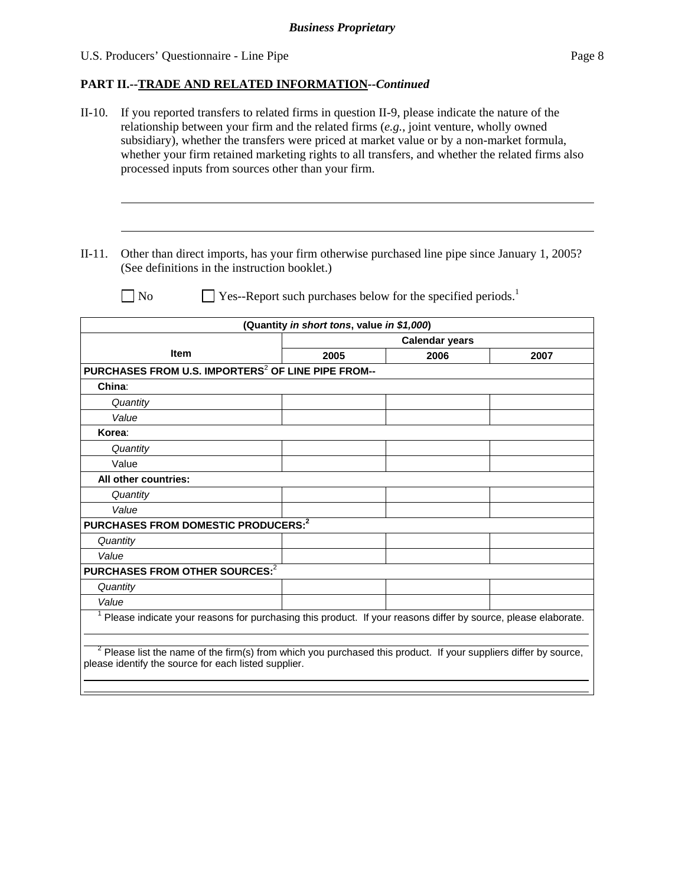## **PART II.--TRADE AND RELATED INFORMATION***--Continued*

- II-10. If you reported transfers to related firms in question II-9, please indicate the nature of the relationship between your firm and the related firms (*e.g.*, joint venture, wholly owned subsidiary), whether the transfers were priced at market value or by a non-market formula, whether your firm retained marketing rights to all transfers, and whether the related firms also processed inputs from sources other than your firm.
- II-11. Other than direct imports, has your firm otherwise purchased line pipe since January 1, 2005? (See definitions in the instruction booklet.)

l

 $\overline{a}$ 

 $\Box$  No  $\Box$  Yes--Report such purchases below for the specified periods.<sup>1</sup>

| (Quantity in short tons, value in \$1,000)                                                                                                                                 |                       |      |      |
|----------------------------------------------------------------------------------------------------------------------------------------------------------------------------|-----------------------|------|------|
|                                                                                                                                                                            | <b>Calendar years</b> |      |      |
| <b>Item</b>                                                                                                                                                                | 2005                  | 2006 | 2007 |
| PURCHASES FROM U.S. IMPORTERS <sup>2</sup> OF LINE PIPE FROM--                                                                                                             |                       |      |      |
| China:                                                                                                                                                                     |                       |      |      |
| Quantity                                                                                                                                                                   |                       |      |      |
| Value                                                                                                                                                                      |                       |      |      |
| Korea:                                                                                                                                                                     |                       |      |      |
| Quantity                                                                                                                                                                   |                       |      |      |
| Value                                                                                                                                                                      |                       |      |      |
| All other countries:                                                                                                                                                       |                       |      |      |
| Quantity                                                                                                                                                                   |                       |      |      |
| Value                                                                                                                                                                      |                       |      |      |
| PURCHASES FROM DOMESTIC PRODUCERS: <sup>2</sup>                                                                                                                            |                       |      |      |
| Quantity                                                                                                                                                                   |                       |      |      |
| Value                                                                                                                                                                      |                       |      |      |
| PURCHASES FROM OTHER SOURCES: <sup>2</sup>                                                                                                                                 |                       |      |      |
| Quantity                                                                                                                                                                   |                       |      |      |
| Value                                                                                                                                                                      |                       |      |      |
| <sup>1</sup> Please indicate your reasons for purchasing this product. If your reasons differ by source, please elaborate.                                                 |                       |      |      |
| $2$ Please list the name of the firm(s) from which you purchased this product. If your suppliers differ by source,<br>please identify the source for each listed supplier. |                       |      |      |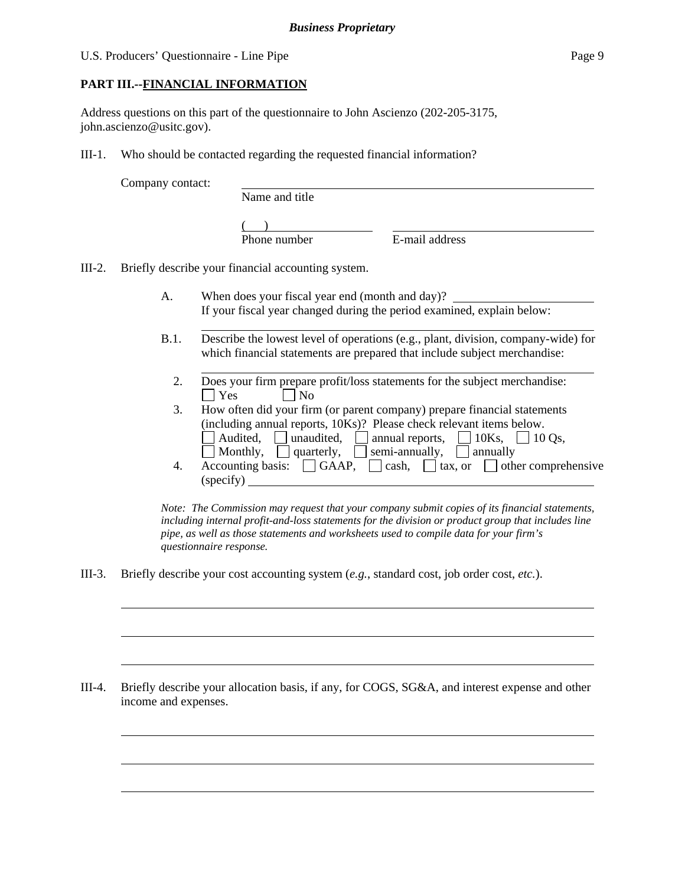## **PART III.--FINANCIAL INFORMATION**

Address questions on this part of the questionnaire to John Ascienzo (202-205-3175, john.ascienzo@usitc.gov).

III-1. Who should be contacted regarding the requested financial information?

Company contact:

l

 $\overline{a}$ 

 $\overline{a}$ 

 $\overline{a}$ 

 $\overline{a}$ 

 $\overline{a}$ 

Name and title

 $($ 

Phone number E-mail address

III-2. Briefly describe your financial accounting system.

l

- A. When does your fiscal year end (month and day)? If your fiscal year changed during the period examined, explain below:
- B.1. Describe the lowest level of operations (e.g., plant, division, company-wide) for which financial statements are prepared that include subject merchandise:
	- l 2. Does your firm prepare profit/loss statements for the subject merchandise:  $\Box$  Yes  $\Box$  No
	- 3. How often did your firm (or parent company) prepare financial statements (including annual reports, 10Ks)? Please check relevant items below. Audited, unaudited, annual reports,  $\Box$  10Ks,  $\Box$  10 Qs, Monthly,  $\Box$  quarterly,  $\Box$  semi-annually,  $\Box$  annually
	- 4. Accounting basis:  $\Box$  GAAP,  $\Box$  cash,  $\Box$  tax, or  $\Box$  other comprehensive (specify)

*Note: The Commission may request that your company submit copies of its financial statements, including internal profit-and-loss statements for the division or product group that includes line pipe, as well as those statements and worksheets used to compile data for your firm's questionnaire response.* 

III-3. Briefly describe your cost accounting system (*e.g.*, standard cost, job order cost, *etc.*).

III-4. Briefly describe your allocation basis, if any, for COGS, SG&A, and interest expense and other income and expenses.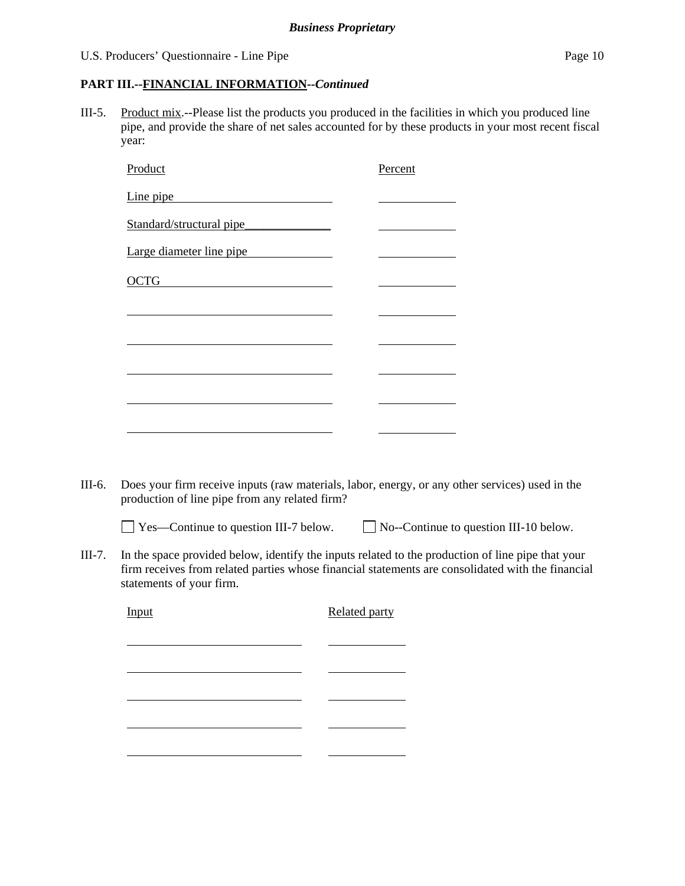#### U.S. Producers' Questionnaire - Line Pipe Page 10

## **PART III.--FINANCIAL INFORMATION***--Continued*

III-5. Product mix.--Please list the products you produced in the facilities in which you produced line pipe, and provide the share of net sales accounted for by these products in your most recent fiscal year:

| Product                  | Percent |
|--------------------------|---------|
| Line pipe                |         |
| Standard/structural pipe |         |
| Large diameter line pipe |         |
| <b>OCTG</b>              |         |
|                          |         |
|                          |         |
|                          |         |
|                          |         |
|                          |         |
|                          |         |

III-6. Does your firm receive inputs (raw materials, labor, energy, or any other services) used in the production of line pipe from any related firm?

 $\Box$  Yes—Continue to question III-7 below.  $\Box$  No--Continue to question III-10 below.

III-7. In the space provided below, identify the inputs related to the production of line pipe that your firm receives from related parties whose financial statements are consolidated with the financial statements of your firm.

Input Related party

l l l l l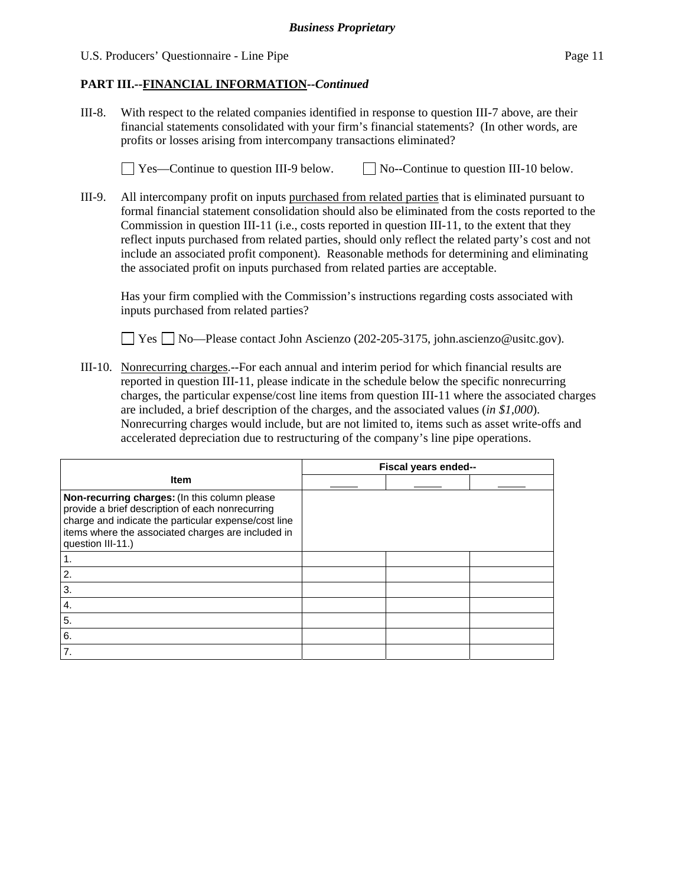U.S. Producers' Questionnaire - Line Pipe Page 11

## **PART III.--FINANCIAL INFORMATION***--Continued*

III-8. With respect to the related companies identified in response to question III-7 above, are their financial statements consolidated with your firm's financial statements? (In other words, are profits or losses arising from intercompany transactions eliminated?

 $\Box$  Yes—Continue to question III-9 below.  $\Box$  No--Continue to question III-10 below.

III-9. All intercompany profit on inputs purchased from related parties that is eliminated pursuant to formal financial statement consolidation should also be eliminated from the costs reported to the Commission in question III-11 (i.e., costs reported in question III-11, to the extent that they reflect inputs purchased from related parties, should only reflect the related party's cost and not include an associated profit component). Reasonable methods for determining and eliminating the associated profit on inputs purchased from related parties are acceptable.

 Has your firm complied with the Commission's instructions regarding costs associated with inputs purchased from related parties?

Yes No—Please contact John Ascienzo (202-205-3175, john.ascienzo@usitc.gov).

III-10. Nonrecurring charges.--For each annual and interim period for which financial results are reported in question III-11, please indicate in the schedule below the specific nonrecurring charges, the particular expense/cost line items from question III-11 where the associated charges are included, a brief description of the charges, and the associated values (*in \$1,000*). Nonrecurring charges would include, but are not limited to, items such as asset write-offs and accelerated depreciation due to restructuring of the company's line pipe operations.

|                                                                                                                                                                                                                                      | Fiscal years ended-- |  |  |
|--------------------------------------------------------------------------------------------------------------------------------------------------------------------------------------------------------------------------------------|----------------------|--|--|
| <b>Item</b>                                                                                                                                                                                                                          |                      |  |  |
| Non-recurring charges: (In this column please<br>provide a brief description of each nonrecurring<br>charge and indicate the particular expense/cost line<br>items where the associated charges are included in<br>question III-11.) |                      |  |  |
|                                                                                                                                                                                                                                      |                      |  |  |
| $\overline{2}$ .                                                                                                                                                                                                                     |                      |  |  |
| 3.                                                                                                                                                                                                                                   |                      |  |  |
| 4.                                                                                                                                                                                                                                   |                      |  |  |
| 5.                                                                                                                                                                                                                                   |                      |  |  |
| 6.                                                                                                                                                                                                                                   |                      |  |  |
| 7.                                                                                                                                                                                                                                   |                      |  |  |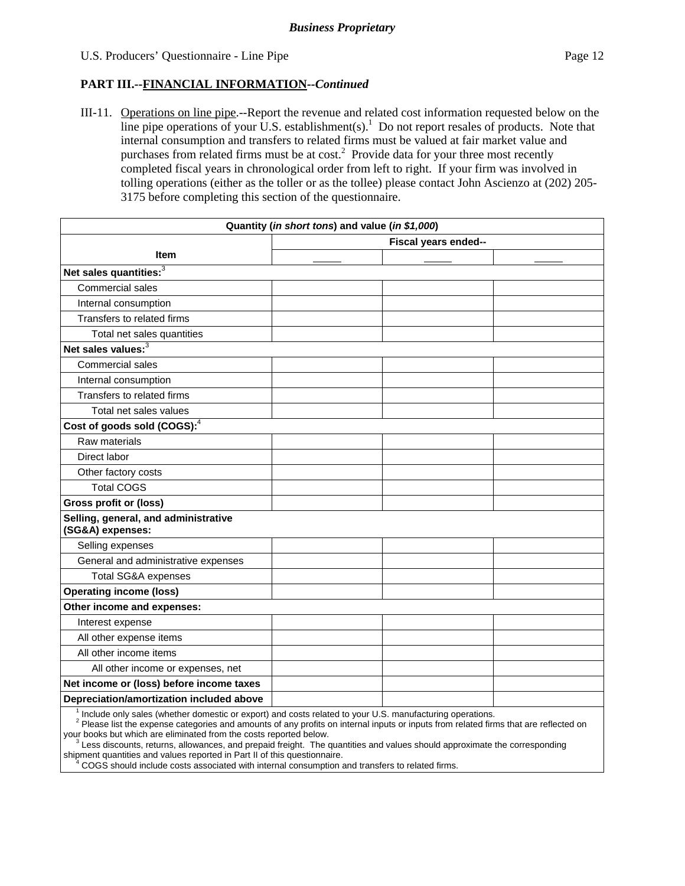## **PART III.--FINANCIAL INFORMATION***--Continued*

III-11. Operations on line pipe.--Report the revenue and related cost information requested below on the line pipe operations of your U.S. establishment(s).<sup>1</sup> Do not report resales of products. Note that internal consumption and transfers to related firms must be valued at fair market value and purchases from related firms must be at  $cost<sup>2</sup>$ . Provide data for your three most recently completed fiscal years in chronological order from left to right. If your firm was involved in tolling operations (either as the toller or as the tollee) please contact John Ascienzo at (202) 205- 3175 before completing this section of the questionnaire.

| Quantity (in short tons) and value (in \$1,000)                                                          |                      |  |  |
|----------------------------------------------------------------------------------------------------------|----------------------|--|--|
|                                                                                                          | Fiscal years ended-- |  |  |
| <b>Item</b>                                                                                              |                      |  |  |
| Net sales quantities: <sup>3</sup>                                                                       |                      |  |  |
| Commercial sales                                                                                         |                      |  |  |
| Internal consumption                                                                                     |                      |  |  |
| Transfers to related firms                                                                               |                      |  |  |
| Total net sales quantities                                                                               |                      |  |  |
| Net sales values: $3$                                                                                    |                      |  |  |
| Commercial sales                                                                                         |                      |  |  |
| Internal consumption                                                                                     |                      |  |  |
| Transfers to related firms                                                                               |                      |  |  |
| Total net sales values                                                                                   |                      |  |  |
| Cost of goods sold (COGS): <sup>4</sup>                                                                  |                      |  |  |
| Raw materials                                                                                            |                      |  |  |
| Direct labor                                                                                             |                      |  |  |
| Other factory costs                                                                                      |                      |  |  |
| <b>Total COGS</b>                                                                                        |                      |  |  |
| <b>Gross profit or (loss)</b>                                                                            |                      |  |  |
| Selling, general, and administrative<br>(SG&A) expenses:                                                 |                      |  |  |
| Selling expenses                                                                                         |                      |  |  |
| General and administrative expenses                                                                      |                      |  |  |
| Total SG&A expenses                                                                                      |                      |  |  |
| <b>Operating income (loss)</b>                                                                           |                      |  |  |
| Other income and expenses:                                                                               |                      |  |  |
| Interest expense                                                                                         |                      |  |  |
| All other expense items                                                                                  |                      |  |  |
| All other income items                                                                                   |                      |  |  |
| All other income or expenses, net                                                                        |                      |  |  |
| Net income or (loss) before income taxes                                                                 |                      |  |  |
| Depreciation/amortization included above                                                                 |                      |  |  |
| Include only sales (whether domestic or export) and costs related to your U.S. manufacturing operations. |                      |  |  |

<sup>2</sup> Please list the expense categories and amounts of any profits on internal inputs or inputs from related firms that are reflected on your books but which are eliminated from the costs reported below.

 $\frac{3}{2}$ Less discounts, returns, allowances, and prepaid freight. The quantities and values should approximate the corresponding shipment quantities and values reported in Part II of this questionnaire.

<sup>4</sup> COGS should include costs associated with internal consumption and transfers to related firms.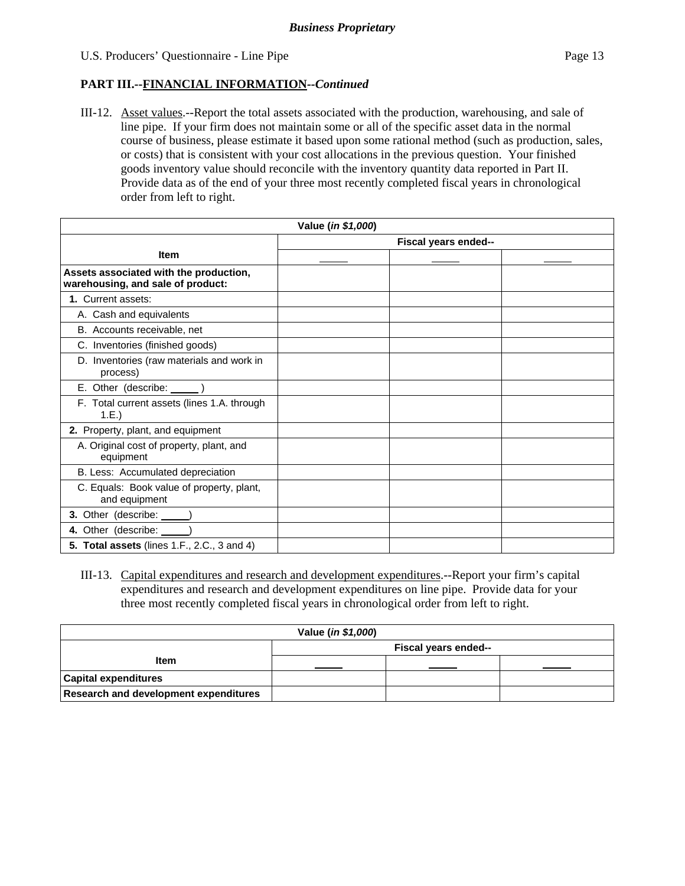## **PART III.--FINANCIAL INFORMATION***--Continued*

III-12. Asset values.--Report the total assets associated with the production, warehousing, and sale of line pipe. If your firm does not maintain some or all of the specific asset data in the normal course of business, please estimate it based upon some rational method (such as production, sales, or costs) that is consistent with your cost allocations in the previous question. Your finished goods inventory value should reconcile with the inventory quantity data reported in Part II. Provide data as of the end of your three most recently completed fiscal years in chronological order from left to right.

| Value (in \$1,000)                                                          |                      |  |  |
|-----------------------------------------------------------------------------|----------------------|--|--|
|                                                                             | Fiscal years ended-- |  |  |
| <b>Item</b>                                                                 |                      |  |  |
| Assets associated with the production,<br>warehousing, and sale of product: |                      |  |  |
| 1. Current assets:                                                          |                      |  |  |
| A. Cash and equivalents                                                     |                      |  |  |
| B. Accounts receivable, net                                                 |                      |  |  |
| C. Inventories (finished goods)                                             |                      |  |  |
| D. Inventories (raw materials and work in<br>process)                       |                      |  |  |
| E. Other (describe: ______)                                                 |                      |  |  |
| F. Total current assets (lines 1.A. through<br>1.E.)                        |                      |  |  |
| 2. Property, plant, and equipment                                           |                      |  |  |
| A. Original cost of property, plant, and<br>equipment                       |                      |  |  |
| B. Less: Accumulated depreciation                                           |                      |  |  |
| C. Equals: Book value of property, plant,<br>and equipment                  |                      |  |  |
| 3. Other (describe: _____)                                                  |                      |  |  |
| 4. Other (describe: )                                                       |                      |  |  |
| <b>5. Total assets (lines 1.F., 2.C., 3 and 4)</b>                          |                      |  |  |

III-13. Capital expenditures and research and development expenditures.--Report your firm's capital expenditures and research and development expenditures on line pipe. Provide data for your three most recently completed fiscal years in chronological order from left to right.

| Value (in \$1,000)                           |                      |  |  |
|----------------------------------------------|----------------------|--|--|
|                                              | Fiscal years ended-- |  |  |
| <b>Item</b>                                  |                      |  |  |
| <b>Capital expenditures</b>                  |                      |  |  |
| <b>Research and development expenditures</b> |                      |  |  |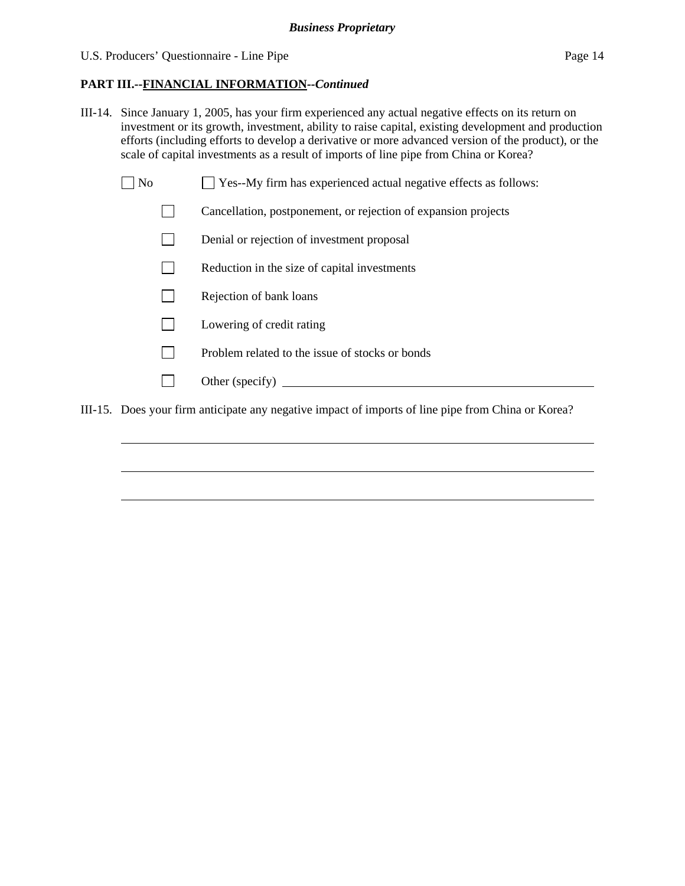## **PART III.--FINANCIAL INFORMATION***--Continued*

- III-14. Since January 1, 2005, has your firm experienced any actual negative effects on its return on investment or its growth, investment, ability to raise capital, existing development and production efforts (including efforts to develop a derivative or more advanced version of the product), or the scale of capital investments as a result of imports of line pipe from China or Korea?
	- $\Box$  No  $\Box$  Yes--My firm has experienced actual negative effects as follows:
		- Cancellation, postponement, or rejection of expansion projects
		- Denial or rejection of investment proposal
		- $\Box$  Reduction in the size of capital investments
		- $\Box$  Rejection of bank loans
		- **Lowering of credit rating**
		- $\Box$  Problem related to the issue of stocks or bonds
		- Other (specify)

 $\overline{a}$ 

 $\overline{a}$ 

 $\overline{a}$ 

III-15. Does your firm anticipate any negative impact of imports of line pipe from China or Korea?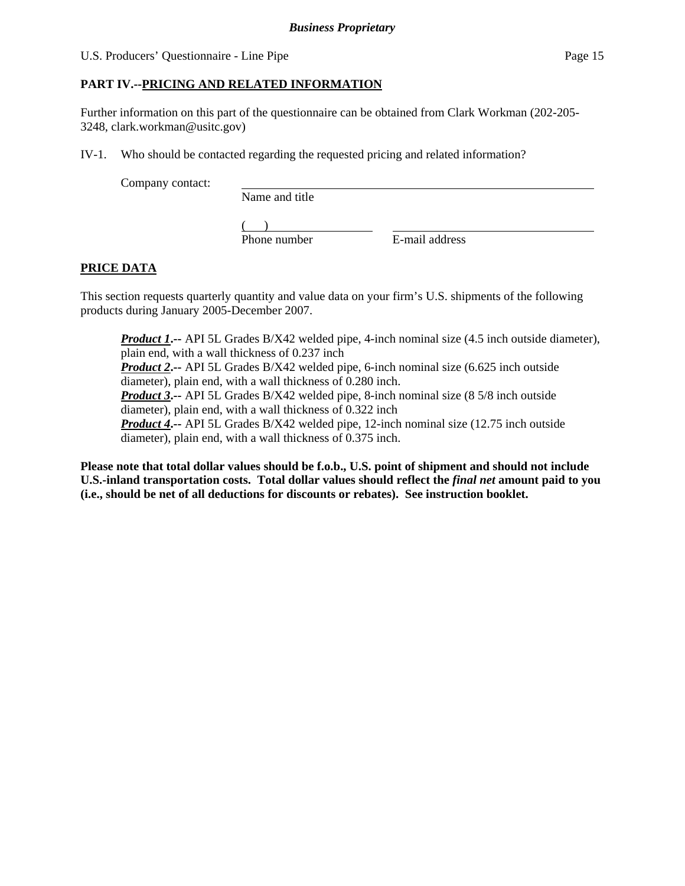## **PART IV.--PRICING AND RELATED INFORMATION**

Further information on this part of the questionnaire can be obtained from Clark Workman (202-205- 3248, clark.workman@usitc.gov)

IV-1. Who should be contacted regarding the requested pricing and related information?

Company contact:

Name and title

 $($ Phone number E-mail address

## **PRICE DATA**

This section requests quarterly quantity and value data on your firm's U.S. shipments of the following products during January 2005-December 2007.

*Product 1***.--** API 5L Grades B/X42 welded pipe, 4-inch nominal size (4.5 inch outside diameter), plain end, with a wall thickness of 0.237 inch *Product 2***.--** API 5L Grades B/X42 welded pipe, 6-inch nominal size (6.625 inch outside diameter), plain end, with a wall thickness of 0.280 inch. *Product 3***.--** API 5L Grades B/X42 welded pipe, 8-inch nominal size (8 5/8 inch outside diameter), plain end, with a wall thickness of 0.322 inch *Product 4***.--** API 5L Grades B/X42 welded pipe, 12-inch nominal size (12.75 inch outside diameter), plain end, with a wall thickness of 0.375 inch.

**Please note that total dollar values should be f.o.b., U.S. point of shipment and should not include U.S.-inland transportation costs. Total dollar values should reflect the** *final net* **amount paid to you (i.e., should be net of all deductions for discounts or rebates). See instruction booklet.**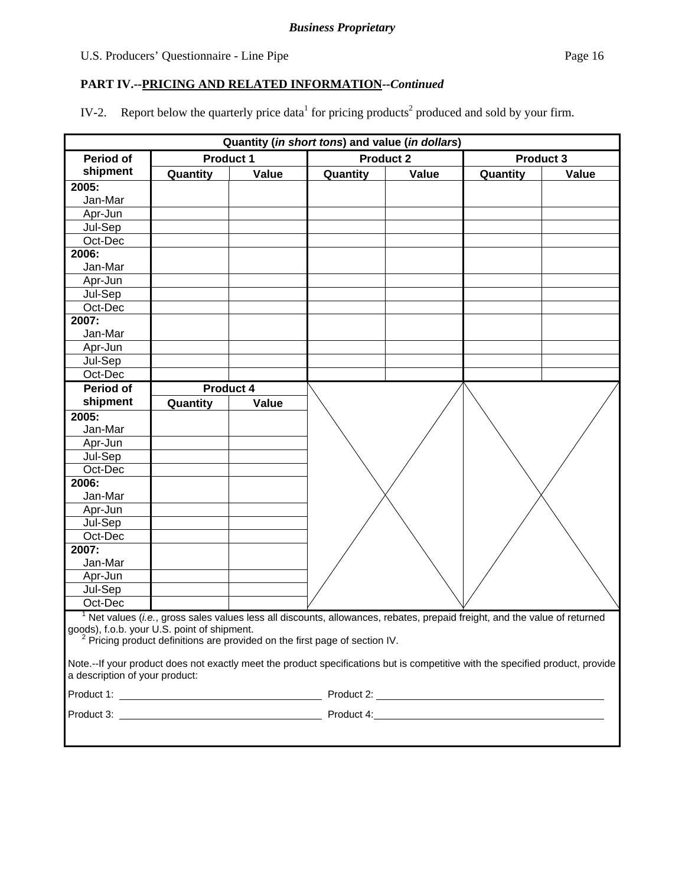## U.S. Producers' Questionnaire - Line Pipe Page 16

## **PART IV.--PRICING AND RELATED INFORMATION***--Continued*

IV-2. Report below the quarterly price data<sup>1</sup> for pricing products<sup>2</sup> produced and sold by your firm.

| Quantity (in short tons) and value (in dollars) |                  |       |                                                                                                                                |                  |          |                  |
|-------------------------------------------------|------------------|-------|--------------------------------------------------------------------------------------------------------------------------------|------------------|----------|------------------|
| Period of                                       | <b>Product 1</b> |       |                                                                                                                                | <b>Product 2</b> |          | <b>Product 3</b> |
| shipment                                        | Quantity         | Value | Quantity                                                                                                                       | Value            | Quantity | Value            |
| 2005:                                           |                  |       |                                                                                                                                |                  |          |                  |
| Jan-Mar                                         |                  |       |                                                                                                                                |                  |          |                  |
| Apr-Jun                                         |                  |       |                                                                                                                                |                  |          |                  |
| Jul-Sep                                         |                  |       |                                                                                                                                |                  |          |                  |
| Oct-Dec                                         |                  |       |                                                                                                                                |                  |          |                  |
| 2006:                                           |                  |       |                                                                                                                                |                  |          |                  |
| Jan-Mar                                         |                  |       |                                                                                                                                |                  |          |                  |
| Apr-Jun                                         |                  |       |                                                                                                                                |                  |          |                  |
| Jul-Sep                                         |                  |       |                                                                                                                                |                  |          |                  |
| Oct-Dec                                         |                  |       |                                                                                                                                |                  |          |                  |
| 2007:                                           |                  |       |                                                                                                                                |                  |          |                  |
| Jan-Mar                                         |                  |       |                                                                                                                                |                  |          |                  |
| Apr-Jun                                         |                  |       |                                                                                                                                |                  |          |                  |
| Jul-Sep                                         |                  |       |                                                                                                                                |                  |          |                  |
| Oct-Dec                                         |                  |       |                                                                                                                                |                  |          |                  |
| Period of                                       | Product 4        |       |                                                                                                                                |                  |          |                  |
| shipment                                        | Quantity         | Value |                                                                                                                                |                  |          |                  |
| 2005:                                           |                  |       |                                                                                                                                |                  |          |                  |
| Jan-Mar                                         |                  |       |                                                                                                                                |                  |          |                  |
| Apr-Jun                                         |                  |       |                                                                                                                                |                  |          |                  |
| Jul-Sep                                         |                  |       |                                                                                                                                |                  |          |                  |
| Oct-Dec                                         |                  |       |                                                                                                                                |                  |          |                  |
| 2006:                                           |                  |       |                                                                                                                                |                  |          |                  |
| Jan-Mar                                         |                  |       |                                                                                                                                |                  |          |                  |
| Apr-Jun<br>Jul-Sep                              |                  |       |                                                                                                                                |                  |          |                  |
| Oct-Dec                                         |                  |       |                                                                                                                                |                  |          |                  |
| 2007:                                           |                  |       |                                                                                                                                |                  |          |                  |
| Jan-Mar                                         |                  |       |                                                                                                                                |                  |          |                  |
| Apr-Jun                                         |                  |       |                                                                                                                                |                  |          |                  |
| Jul-Sep                                         |                  |       |                                                                                                                                |                  |          |                  |
| Oct-Dec                                         |                  |       |                                                                                                                                |                  |          |                  |
|                                                 |                  |       | $1$ Net values (i.e., gross sales values less all discounts, allowances, rebates, prepaid freight, and the value of returned   |                  |          |                  |
| goods), f.o.b. your U.S. point of shipment.     |                  |       |                                                                                                                                |                  |          |                  |
|                                                 |                  |       | <sup>2</sup> Pricing product definitions are provided on the first page of section IV.                                         |                  |          |                  |
|                                                 |                  |       |                                                                                                                                |                  |          |                  |
| a description of your product:                  |                  |       | Note.--If your product does not exactly meet the product specifications but is competitive with the specified product, provide |                  |          |                  |
|                                                 |                  |       |                                                                                                                                |                  |          |                  |
|                                                 |                  |       |                                                                                                                                |                  |          |                  |
|                                                 |                  |       |                                                                                                                                |                  |          |                  |
|                                                 |                  |       |                                                                                                                                |                  |          |                  |
|                                                 |                  |       |                                                                                                                                |                  |          |                  |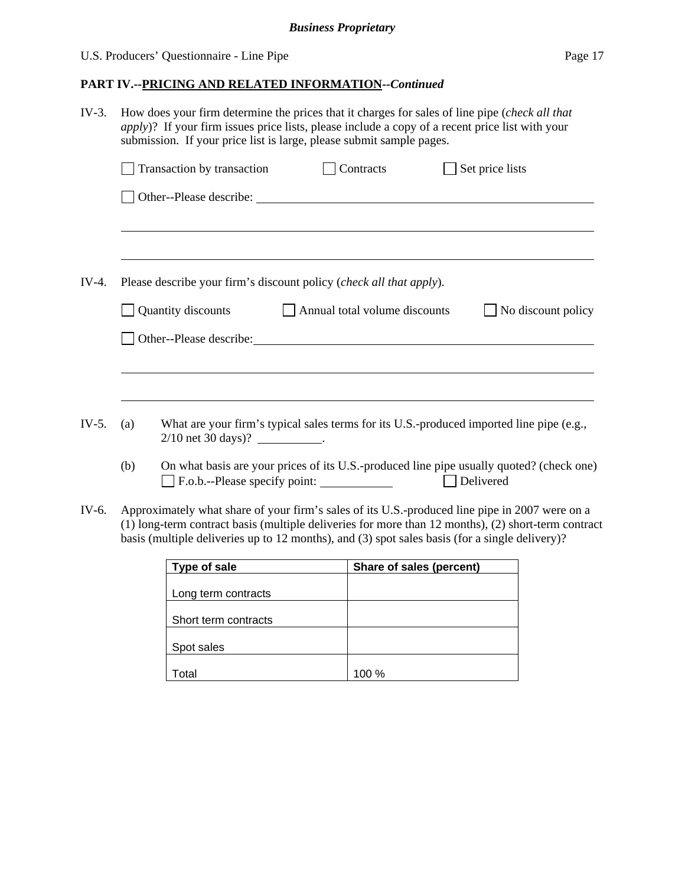## U.S. Producers' Questionnaire - Line Pipe Page 17

## **PART IV.--PRICING AND RELATED INFORMATION***--Continued*

| $IV-3.$ | How does your firm determine the prices that it charges for sales of line pipe (check all that<br>apply)? If your firm issues price lists, please include a copy of a recent price list with your<br>submission. If your price list is large, please submit sample pages. |                                                                                                                               |                               |  |                    |
|---------|---------------------------------------------------------------------------------------------------------------------------------------------------------------------------------------------------------------------------------------------------------------------------|-------------------------------------------------------------------------------------------------------------------------------|-------------------------------|--|--------------------|
|         |                                                                                                                                                                                                                                                                           | Transaction by transaction                                                                                                    | Contracts                     |  | Set price lists    |
|         |                                                                                                                                                                                                                                                                           | Other--Please describe:                                                                                                       |                               |  |                    |
|         |                                                                                                                                                                                                                                                                           |                                                                                                                               |                               |  |                    |
| IV-4.   |                                                                                                                                                                                                                                                                           | Please describe your firm's discount policy ( <i>check all that apply</i> ).                                                  |                               |  |                    |
|         |                                                                                                                                                                                                                                                                           | Quantity discounts                                                                                                            | Annual total volume discounts |  | No discount policy |
|         |                                                                                                                                                                                                                                                                           |                                                                                                                               |                               |  |                    |
|         |                                                                                                                                                                                                                                                                           |                                                                                                                               |                               |  |                    |
| $IV-5.$ | (a)                                                                                                                                                                                                                                                                       | What are your firm's typical sales terms for its U.S.-produced imported line pipe (e.g.,<br>$2/10$ net 30 days)? ___________. |                               |  |                    |
|         | (b)                                                                                                                                                                                                                                                                       | On what basis are your prices of its U.S.-produced line pipe usually quoted? (check one)<br>F.o.b.--Please specify point:     |                               |  | Delivered          |

IV-6. Approximately what share of your firm's sales of its U.S.-produced line pipe in 2007 were on a (1) long-term contract basis (multiple deliveries for more than 12 months), (2) short-term contract basis (multiple deliveries up to 12 months), and (3) spot sales basis (for a single delivery)?

| Type of sale         | Share of sales (percent) |
|----------------------|--------------------------|
|                      |                          |
| Long term contracts  |                          |
|                      |                          |
| Short term contracts |                          |
|                      |                          |
| Spot sales           |                          |
|                      |                          |
| otal                 | 100%                     |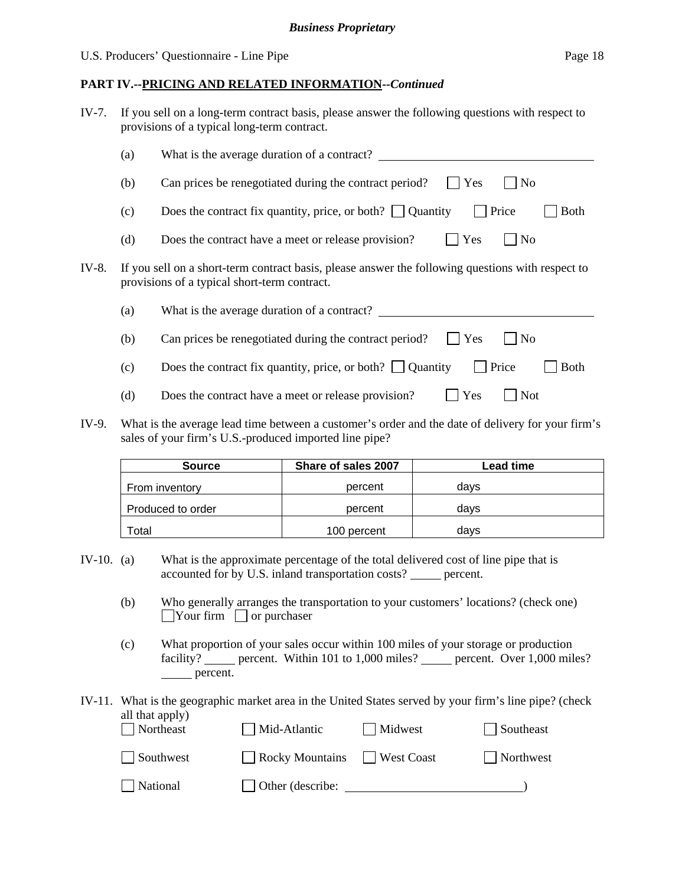## **PART IV.--PRICING AND RELATED INFORMATION***--Continued*

| IV-7. If you sell on a long-term contract basis, please answer the following questions with respect to |
|--------------------------------------------------------------------------------------------------------|
| provisions of a typical long-term contract.                                                            |

|       | (a) | What is the average duration of a contract?                                                                                                       |
|-------|-----|---------------------------------------------------------------------------------------------------------------------------------------------------|
|       | (b) | Can prices be renegotiated during the contract period?<br>Yes<br>N <sub>o</sub>                                                                   |
|       | (c) | Price<br>Does the contract fix quantity, price, or both? $\Box$ Quantity<br><b>Both</b>                                                           |
|       | (d) | Yes<br>$\overline{N}$<br>Does the contract have a meet or release provision?                                                                      |
| IV-8. |     | If you sell on a short-term contract basis, please answer the following questions with respect to<br>provisions of a typical short-term contract. |
|       | (a) | What is the average duration of a contract?                                                                                                       |
|       | (b) | Yes<br>Can prices be renegotiated during the contract period?<br>$ $ No                                                                           |
|       | (c) | Price<br>Does the contract fix quantity, price, or both? $\Box$ Quantity<br><b>Both</b>                                                           |
|       | (d) | Yes<br><b>Not</b><br>Does the contract have a meet or release provision?                                                                          |

IV-9. What is the average lead time between a customer's order and the date of delivery for your firm's sales of your firm's U.S.-produced imported line pipe?

| <b>Source</b>     | Share of sales 2007 | Lead time |
|-------------------|---------------------|-----------|
| From inventory    | percent             | davs      |
| Produced to order | percent             | davs      |
| Total             | 100 percent         | davs      |

- IV-10. (a) What is the approximate percentage of the total delivered cost of line pipe that is accounted for by U.S. inland transportation costs? \_\_\_\_\_ percent.
	- (b) Who generally arranges the transportation to your customers' locations? (check one)  $\Box$ Your firm  $\Box$  or purchaser
	- (c) What proportion of your sales occur within 100 miles of your storage or production facility? percent. Within 101 to 1,000 miles? percent. Over 1,000 miles? percent.

#### IV-11. What is the geographic market area in the United States served by your firm's line pipe? (check all that apply) Northeast Mid-Atlantic Midwest Southeast

| Southwest | Rocky Mountains West Coast | Northwest |
|-----------|----------------------------|-----------|
| National  | $\Box$ Other (describe:    |           |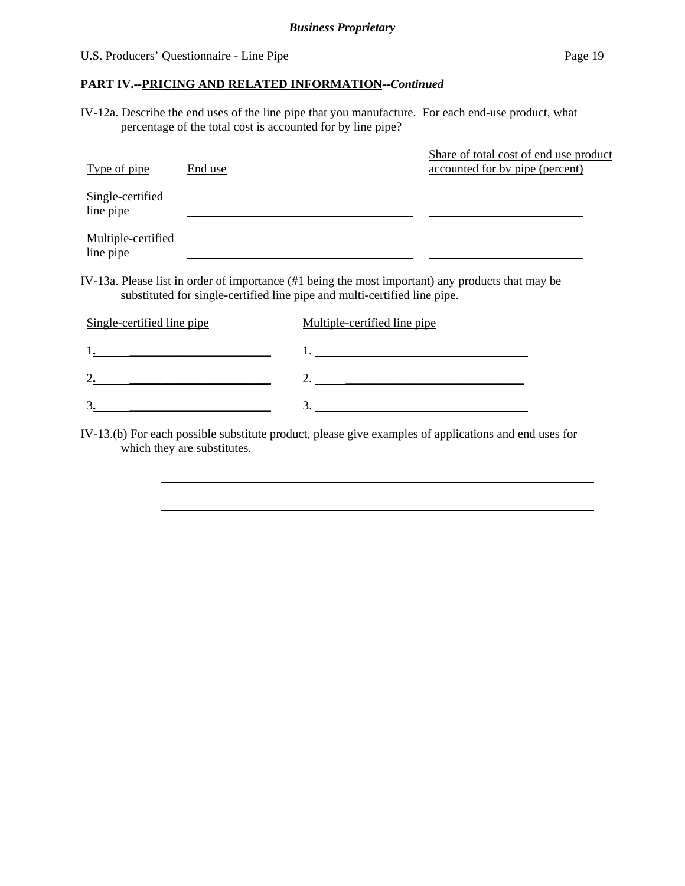$\overline{a}$ 

## **PART IV.--PRICING AND RELATED INFORMATION***--Continued*

IV-12a. Describe the end uses of the line pipe that you manufacture. For each end-use product, what percentage of the total cost is accounted for by line pipe?

| Type of pipe                    | End use |                                                                                                                                                                                | Share of total cost of end use product<br>accounted for by pipe (percent) |
|---------------------------------|---------|--------------------------------------------------------------------------------------------------------------------------------------------------------------------------------|---------------------------------------------------------------------------|
| Single-certified<br>line pipe   |         |                                                                                                                                                                                |                                                                           |
| Multiple-certified<br>line pipe |         |                                                                                                                                                                                |                                                                           |
|                                 |         | IV-13a. Please list in order of importance (#1 being the most important) any products that may be<br>substituted for single-certified line pipe and multi-certified line pipe. |                                                                           |
| Single-certified line pipe      |         | Multiple-certified line pipe                                                                                                                                                   |                                                                           |
|                                 |         |                                                                                                                                                                                |                                                                           |
|                                 |         |                                                                                                                                                                                |                                                                           |

IV-13.(b) For each possible substitute product, please give examples of applications and end uses for which they are substitutes.

3**. \_\_\_\_\_\_\_\_\_\_\_\_\_\_\_\_\_\_\_\_\_\_\_** 3.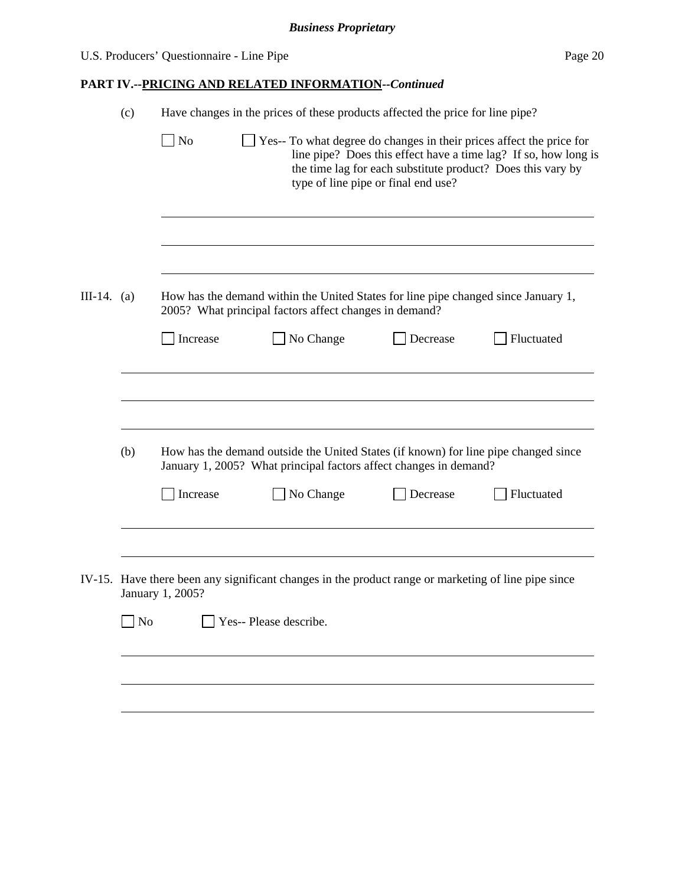| U.S. Producers' Questionnaire - Line Pipe | Page 20 |
|-------------------------------------------|---------|
|                                           |         |

# **PART IV.--PRICING AND RELATED INFORMATION***--Continued*

|               | (c)            | Have changes in the prices of these products affected the price for line pipe? |                                                                                                                                                          |                                     |                                                                                                                                |
|---------------|----------------|--------------------------------------------------------------------------------|----------------------------------------------------------------------------------------------------------------------------------------------------------|-------------------------------------|--------------------------------------------------------------------------------------------------------------------------------|
|               |                | No                                                                             | Yes-- To what degree do changes in their prices affect the price for                                                                                     | type of line pipe or final end use? | line pipe? Does this effect have a time lag? If so, how long is<br>the time lag for each substitute product? Does this vary by |
|               |                |                                                                                |                                                                                                                                                          |                                     |                                                                                                                                |
| III-14. $(a)$ |                |                                                                                | How has the demand within the United States for line pipe changed since January 1,<br>2005? What principal factors affect changes in demand?             |                                     |                                                                                                                                |
|               |                | Increase                                                                       | No Change                                                                                                                                                | Decrease                            | Fluctuated                                                                                                                     |
|               | (b)            |                                                                                | How has the demand outside the United States (if known) for line pipe changed since<br>January 1, 2005? What principal factors affect changes in demand? |                                     |                                                                                                                                |
|               |                | Increase                                                                       | No Change                                                                                                                                                | Decrease                            | Fluctuated                                                                                                                     |
|               |                | January 1, 2005?                                                               | IV-15. Have there been any significant changes in the product range or marketing of line pipe since                                                      |                                     |                                                                                                                                |
|               | N <sub>o</sub> |                                                                                | Yes-- Please describe.                                                                                                                                   |                                     |                                                                                                                                |
|               |                |                                                                                |                                                                                                                                                          |                                     |                                                                                                                                |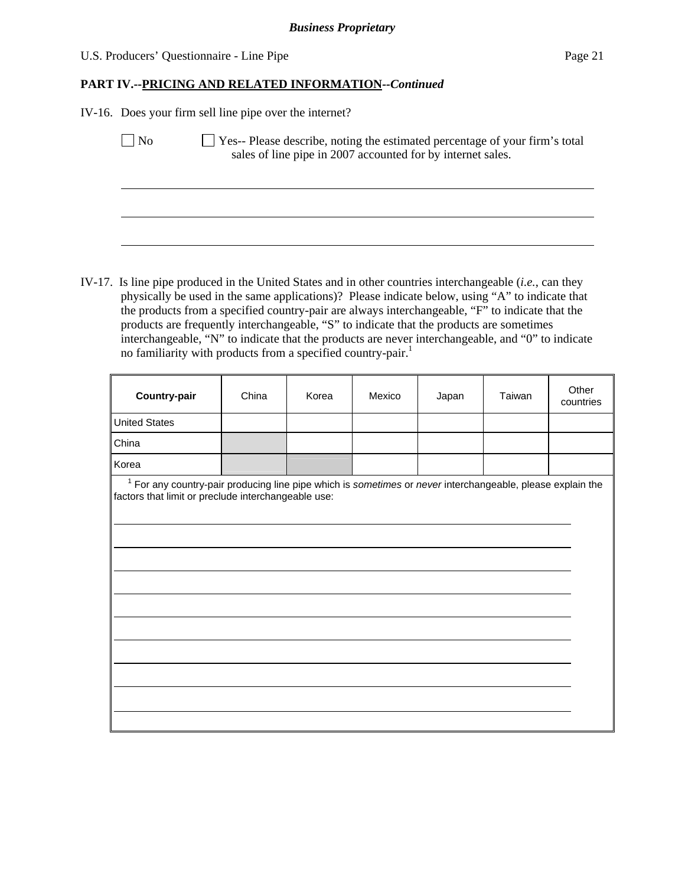## U.S. Producers' Questionnaire - Line Pipe Page 21

## **PART IV.--PRICING AND RELATED INFORMATION***--Continued*

IV-16. Does your firm sell line pipe over the internet?

 $\overline{a}$ 

No  $\Box$  Yes-- Please describe, noting the estimated percentage of your firm's total sales of line pipe in 2007 accounted for by internet sales.

IV-17. Is line pipe produced in the United States and in other countries interchangeable (*i.e.*, can they physically be used in the same applications)? Please indicate below, using "A" to indicate that the products from a specified country-pair are always interchangeable, "F" to indicate that the products are frequently interchangeable, "S" to indicate that the products are sometimes interchangeable, "N" to indicate that the products are never interchangeable, and "0" to indicate no familiarity with products from a specified country-pair.<sup>1</sup>

| <b>Country-pair</b>                                                                                                                                                 | China | Korea | Mexico | Japan | Taiwan | Other<br>countries |
|---------------------------------------------------------------------------------------------------------------------------------------------------------------------|-------|-------|--------|-------|--------|--------------------|
| <b>United States</b>                                                                                                                                                |       |       |        |       |        |                    |
| China                                                                                                                                                               |       |       |        |       |        |                    |
| Korea                                                                                                                                                               |       |       |        |       |        |                    |
| $1$ For any country-pair producing line pipe which is sometimes or never interchangeable, please explain the<br>factors that limit or preclude interchangeable use: |       |       |        |       |        |                    |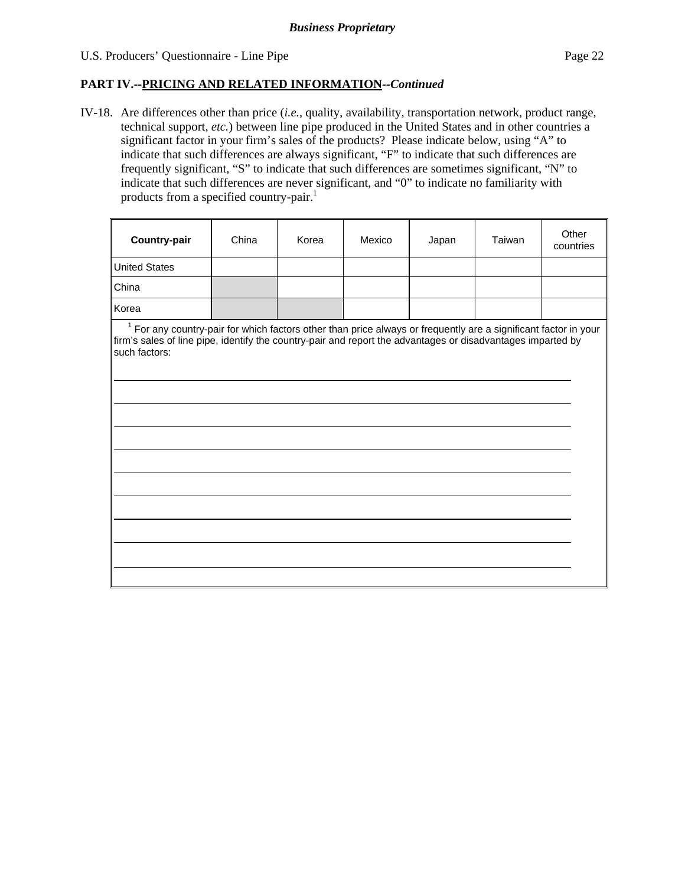## U.S. Producers' Questionnaire - Line Pipe Page 22

 $\overline{a}$ 

 $\overline{a}$ 

 $\overline{a}$ 

 $\overline{a}$ 

## **PART IV.--PRICING AND RELATED INFORMATION***--Continued*

IV-18. Are differences other than price (*i.e.*, quality, availability, transportation network, product range, technical support, *etc.*) between line pipe produced in the United States and in other countries a significant factor in your firm's sales of the products? Please indicate below, using "A" to indicate that such differences are always significant, "F" to indicate that such differences are frequently significant, "S" to indicate that such differences are sometimes significant, "N" to indicate that such differences are never significant, and "0" to indicate no familiarity with products from a specified country-pair.<sup>1</sup>

| <b>Country-pair</b>  | China | Korea | Mexico | Japan | Taiwan | Other<br>countries |
|----------------------|-------|-------|--------|-------|--------|--------------------|
| <b>United States</b> |       |       |        |       |        |                    |
| China                |       |       |        |       |        |                    |
| Korea                |       |       |        |       |        |                    |

<sup>1</sup> For any country-pair for which factors other than price always or frequently are a significant factor in your firm's sales of line pipe, identify the country-pair and report the advantages or disadvantages imparted by such factors: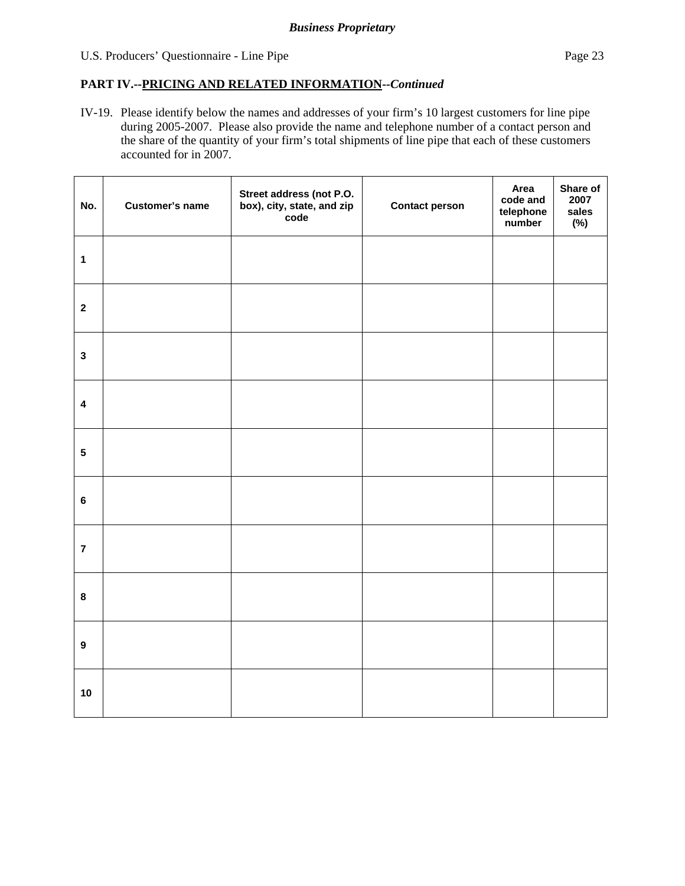## U.S. Producers' Questionnaire - Line Pipe Page 23

## **PART IV.--PRICING AND RELATED INFORMATION***--Continued*

IV-19. Please identify below the names and addresses of your firm's 10 largest customers for line pipe during 2005-2007. Please also provide the name and telephone number of a contact person and the share of the quantity of your firm's total shipments of line pipe that each of these customers accounted for in 2007.

| No.              | <b>Customer's name</b> | Street address (not P.O.<br>box), city, state, and zip<br>code | <b>Contact person</b> | Area<br>code and<br>telephone<br>number | Share of<br>2007<br>sales<br>$(\%)$ |
|------------------|------------------------|----------------------------------------------------------------|-----------------------|-----------------------------------------|-------------------------------------|
| $\mathbf{1}$     |                        |                                                                |                       |                                         |                                     |
| $\mathbf{2}$     |                        |                                                                |                       |                                         |                                     |
| $\mathbf 3$      |                        |                                                                |                       |                                         |                                     |
| $\boldsymbol{4}$ |                        |                                                                |                       |                                         |                                     |
| $5\phantom{a}$   |                        |                                                                |                       |                                         |                                     |
| $\bf 6$          |                        |                                                                |                       |                                         |                                     |
| $\overline{7}$   |                        |                                                                |                       |                                         |                                     |
| $\bf8$           |                        |                                                                |                       |                                         |                                     |
| $\boldsymbol{9}$ |                        |                                                                |                       |                                         |                                     |
| 10               |                        |                                                                |                       |                                         |                                     |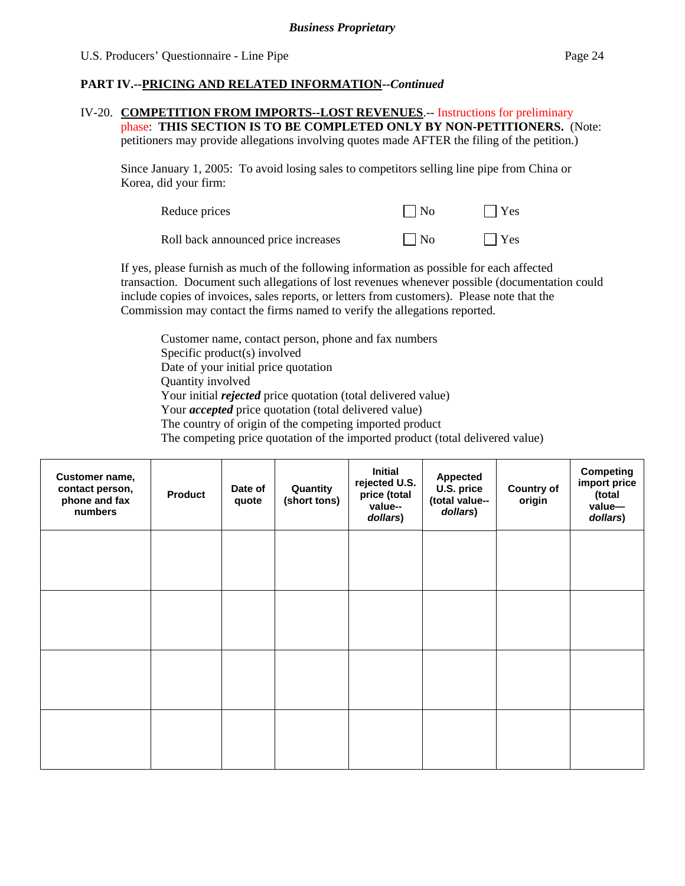## **PART IV.--PRICING AND RELATED INFORMATION***--Continued*

#### IV-20. **COMPETITION FROM IMPORTS--LOST REVENUES**.-- Instructions for preliminary phase: **THIS SECTION IS TO BE COMPLETED ONLY BY NON-PETITIONERS.** (Note: petitioners may provide allegations involving quotes made AFTER the filing of the petition.)

Since January 1, 2005: To avoid losing sales to competitors selling line pipe from China or Korea, did your firm:

| Reduce prices                       | $\Box$ No | $\Box$ Yes |
|-------------------------------------|-----------|------------|
| Roll back announced price increases | $\Box$ No | $\Box$ Yes |

If yes, please furnish as much of the following information as possible for each affected transaction. Document such allegations of lost revenues whenever possible (documentation could include copies of invoices, sales reports, or letters from customers). Please note that the Commission may contact the firms named to verify the allegations reported.

Customer name, contact person, phone and fax numbers Specific product(s) involved Date of your initial price quotation Quantity involved Your initial *rejected* price quotation (total delivered value) Your *accepted* price quotation (total delivered value) The country of origin of the competing imported product The competing price quotation of the imported product (total delivered value)

| Customer name,<br>contact person,<br>phone and fax<br>numbers | <b>Product</b> | Date of<br>quote | Quantity<br>(short tons) | <b>Initial</b><br>rejected U.S.<br>price (total<br>value--<br>dollars) | <b>Appected</b><br>U.S. price<br>(total value--<br>dollars) | <b>Country of</b><br>origin | <b>Competing</b><br>import price<br>(total<br>value-<br>dollars) |
|---------------------------------------------------------------|----------------|------------------|--------------------------|------------------------------------------------------------------------|-------------------------------------------------------------|-----------------------------|------------------------------------------------------------------|
|                                                               |                |                  |                          |                                                                        |                                                             |                             |                                                                  |
|                                                               |                |                  |                          |                                                                        |                                                             |                             |                                                                  |
|                                                               |                |                  |                          |                                                                        |                                                             |                             |                                                                  |
|                                                               |                |                  |                          |                                                                        |                                                             |                             |                                                                  |